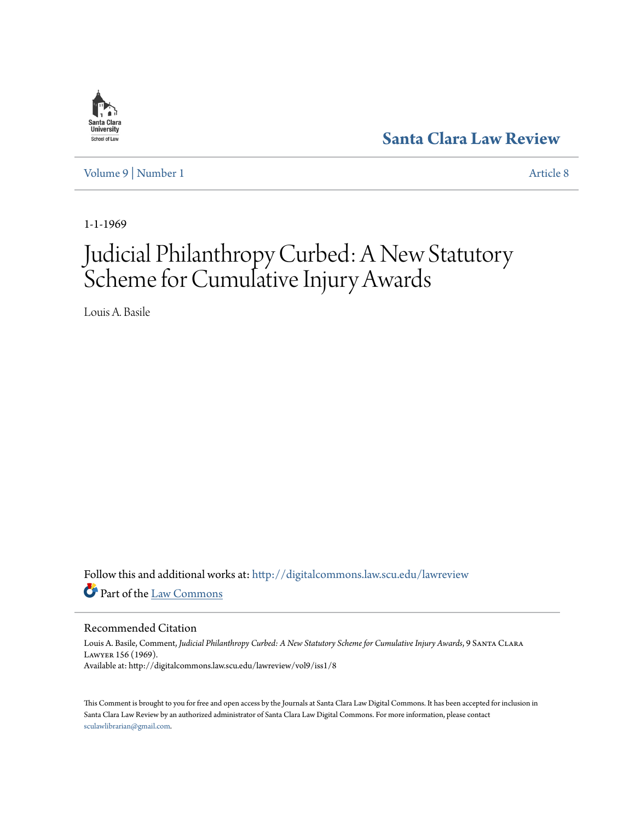

**[Santa Clara Law Review](http://digitalcommons.law.scu.edu/lawreview?utm_source=digitalcommons.law.scu.edu%2Flawreview%2Fvol9%2Fiss1%2F8&utm_medium=PDF&utm_campaign=PDFCoverPages)**

[Volume 9](http://digitalcommons.law.scu.edu/lawreview/vol9?utm_source=digitalcommons.law.scu.edu%2Flawreview%2Fvol9%2Fiss1%2F8&utm_medium=PDF&utm_campaign=PDFCoverPages) | [Number 1](http://digitalcommons.law.scu.edu/lawreview/vol9/iss1?utm_source=digitalcommons.law.scu.edu%2Flawreview%2Fvol9%2Fiss1%2F8&utm_medium=PDF&utm_campaign=PDFCoverPages) [Article 8](http://digitalcommons.law.scu.edu/lawreview/vol9/iss1/8?utm_source=digitalcommons.law.scu.edu%2Flawreview%2Fvol9%2Fiss1%2F8&utm_medium=PDF&utm_campaign=PDFCoverPages)

1-1-1969

# Judicial Philanthropy Curbed: A New Statutory Scheme for Cumulative Injury Awards

Louis A. Basile

Follow this and additional works at: [http://digitalcommons.law.scu.edu/lawreview](http://digitalcommons.law.scu.edu/lawreview?utm_source=digitalcommons.law.scu.edu%2Flawreview%2Fvol9%2Fiss1%2F8&utm_medium=PDF&utm_campaign=PDFCoverPages) Part of the [Law Commons](http://network.bepress.com/hgg/discipline/578?utm_source=digitalcommons.law.scu.edu%2Flawreview%2Fvol9%2Fiss1%2F8&utm_medium=PDF&utm_campaign=PDFCoverPages)

# Recommended Citation

Louis A. Basile, Comment, *Judicial Philanthropy Curbed: A New Statutory Scheme for Cumulative Injury Awards*, 9 Santa Clara Lawyer 156 (1969). Available at: http://digitalcommons.law.scu.edu/lawreview/vol9/iss1/8

This Comment is brought to you for free and open access by the Journals at Santa Clara Law Digital Commons. It has been accepted for inclusion in Santa Clara Law Review by an authorized administrator of Santa Clara Law Digital Commons. For more information, please contact [sculawlibrarian@gmail.com](mailto:sculawlibrarian@gmail.com).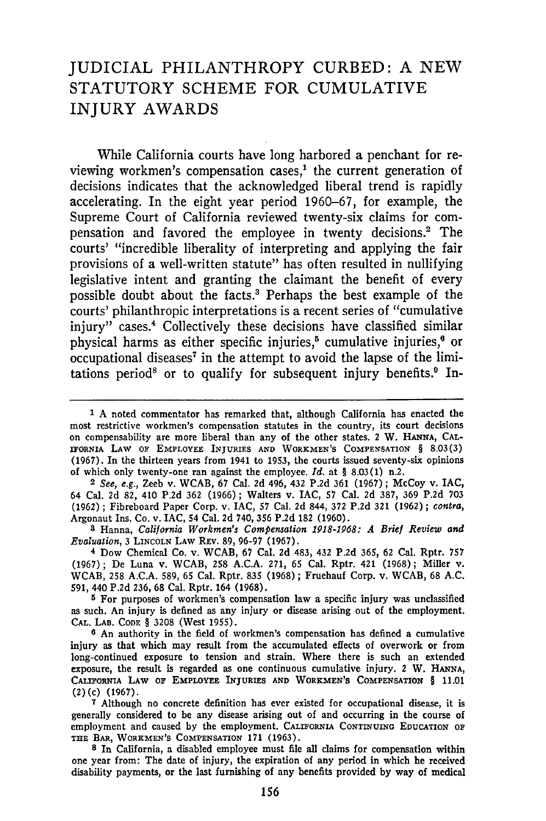# JUDICIAL PHILANTHROPY CURBED: **A NEW** STATUTORY **SCHEME** FOR CUMULATIVE INJURY AWARDS

While California courts have long harbored a penchant for reviewing workmen's compensation cases, $<sup>1</sup>$  the current generation of</sup> decisions indicates that the acknowledged liberal trend is rapidly accelerating. In the eight year period 1960-67, for example, the Supreme Court of California reviewed twenty-six claims for compensation and favored the employee in twenty decisions.2 The courts' "incredible liberality of interpreting and applying the fair provisions of a well-written statute" has often resulted in nullifying legislative intent and granting the claimant the benefit of every possible doubt about the facts.' Perhaps the best example of the courts' philanthropic interpretations is a recent series of "cumulative injury" cases.<sup>4</sup> Collectively these decisions have classified similar physical harms as either specific injuries,<sup>5</sup> cumulative injuries,<sup>6</sup> or occupational diseases<sup>7</sup> in the attempt to avoid the lapse of the limitations period<sup>8</sup> or to qualify for subsequent injury benefits.<sup>9</sup> In-

2 *See, e.g.,* Zeeb v. WCAB, 67 Cal. 2d 496, 432 P.2d 361 (1967); McCoy v. **IAC,** 64 Cal. 2d **82,** 410 P.2d 362 (1966); Walters v. IAC, 57 Cal. 2d **387,** 369 P.2d **703** (1962) **;** Fibreboard Paper Corp. v. IAC, **57** Cal. 2d 844, **372** P.2d 321 (1962) ; *contra,* Argonaut Ins. Co. v. IAC, 54 Cal. **2d** 740, **356** P.2d **182** (1960).

**8** Hanna, *California Workmen's Compensation 1918-1968: A Brief Review and Evaluation,* 3 **LINCOLN** LAW REV. 89, 96-97 (1967).

**<sup>4</sup>**Dow Chemical Co. v. WCAB, 67 Cal. **2d** 483, 432 P.2d 365, **62** Cal. Rptr. **757** (1967); De Luna v. WCAB, **258** A.C.A. 271, 65 Cal. Rptr. 421 (1968); Miller v. WCAB, 258 A.C.A. 589, 65 Cal. Rptr. **835** (1968); Fruehauf Corp. v. WCAB, 68 A.C. **591,** 440 P.2d 236, 68 Cal. Rptr. 164 (1968).

**5** For purposes of workmen's compensation law a specific injury was unclassified as such. An injury is defined as any injury or disease arising out of the employment. **CAL.** LAB. **CODE** § 3208 (West 1955).

**6** An authority in the field of workmen's compensation has defined a cumulative injury as that which may result from the accumulated effects of overwork or from long-continued exposure to tension and strain. Where there is such an extended exposure, the result is regarded as one continuous cumulative injury. 2 W. **HANNA, CALIFORNIA LAW OF EMPLOYEE INJURIES AND WORKMEN'S COMPENSATION** § **11.01 (2)(c)** (1967).

**<sup>7</sup>**Although no concrete definition has ever existed for occupational disease, it is generally considered to be any disease arising out of and occurring in the course of employment and caused **by** the employment. **CALIFORNIA CONTINUING EDUCATION OF THE BAR, WORKMEN'S COMPENSATION 171 (1963).**

**<sup>8</sup>**In California, a disabled employee must file all claims for compensation within one year from: The date of injury, the expiration of any period in which he received disability payments, or the last furnishing of any benefits provided **by** way of medical

**<sup>1</sup> A** noted commentator has remarked that, although California has enacted the most restrictive workmen's compensation statutes in the country, its court decisions on compensability are more liberal than any of the other states. 2 W. **HANNA, CAL-IFORNIA LAW OF EMPLOYEE INJURIES AND WORKMEN'S COMPENSATION** § **8.03(3)** (1967). In the thirteen years from 1941 to 1953, the courts issued seventy-six opinions of which only twenty-one ran against the employee. *Id.* at § 8.03(1) n.2.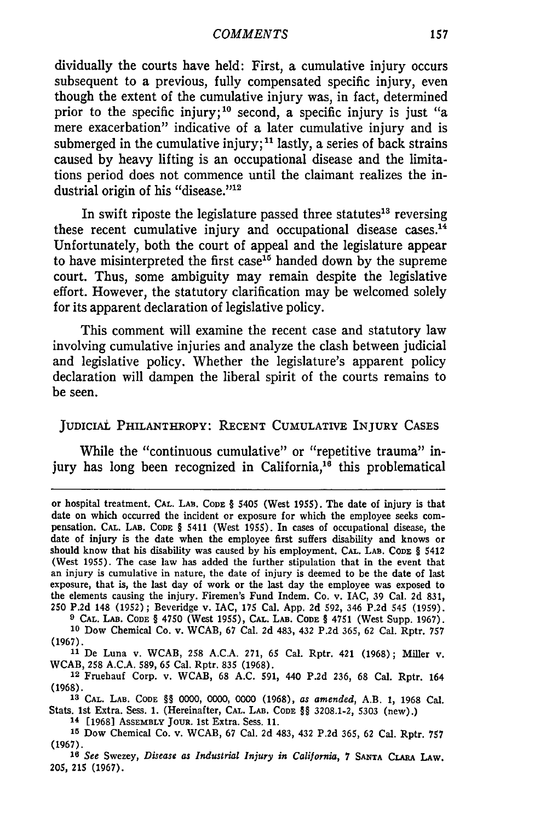#### *COMMENTS*

dividually the courts have held: First, a cumulative injury occurs subsequent to a previous, fully compensated specific injury, even though the extent of the cumulative injury was, in fact, determined prior to the specific injury;<sup>10</sup> second, a specific injury is just "a mere exacerbation" indicative of a later cumulative injury and is submerged in the cumulative injury;<sup>11</sup> lastly, a series of back strains caused by heavy lifting is an occupational disease and the limitations period does not commence until the claimant realizes the industrial origin of his "disease."<sup>12</sup>

In swift riposte the legislature passed three statutes<sup>13</sup> reversing these recent cumulative injury and occupational disease cases. $<sup>14</sup>$ </sup> Unfortunately, both the court of appeal and the legislature appear to have misinterpreted the first case<sup>15</sup> handed down by the supreme court. Thus, some ambiguity may remain despite the legislative effort. However, the statutory clarification may be welcomed solely for its apparent declaration of legislative policy.

This comment will examine the recent case and statutory law involving cumulative injuries and analyze the clash between judicial and legislative policy. Whether the legislature's apparent policy declaration will dampen the liberal spirit of the courts remains to be seen.

# **JUDICIAL** PHILANTHROPY: **RECENT CUMULATIVE** INJURY **CASES**

While the "continuous cumulative" or "repetitive trauma" injury has long been recognized in California, $1^6$  this problematical

**9 CAL. LAB. CODE** § 4750 (West **1955), CAL.** LAB. **CODE** § 4751 (West Supp. **1967). <sup>10</sup>**Dow Chemical Co. v. WCAB, **67** Cal. **2d** 483, 432 **P.2d 365, 62** Cal. Rptr. **757** (1967).

**<sup>11</sup>**De Luna v. WCAB, **258 A.C.A.** 271, **65** Cal. Rptr. 421 **(1968);** Miller v. WCAB, **258 A.C.A. 589, 65** Cal. Rptr. **835 (1968).**

12 Fruehauf Corp. v. WCAB, **68 A.C. 591,** 440 **P.2d 236, 68** Cal. Rptr. 164 **(1968).**

**<sup>13</sup>CAL. LAB. CODE** §§ **0000, 0000, 0000 (1968),** *as amended,* **A.B. 1, 1968** Cal. Stats. 1st Extra. Sess. **1.** (Hereinafter, **CAL. LAB. CODE** §§ **3208.1-2, 5303** (new).)

**<sup>14</sup>[1968]** ASSEMBLY **JOUR. 1st** Extra. Sess. **11.**

**<sup>16</sup>***See* Swezey, *Disease as Industrial Injury in California,* <sup>7</sup>**SANTA CLARA** LAw. **205, 215 (1967).**

or hospital treatment. **CAL. LAB.** CODE § 5405 (West **1955).** The date of injury is that date on which occurred the incident or exposure for which the employee seeks compensation. **CAL. LAB. CODE** § 5411 (West **1955).** In cases of occupational disease, the date of injury is the date when the employee first suffers disability and knows or should know that his disability was caused by his employment. **CAL. LAB. CODE** § 5412 (West **1955).** The case law has added the further stipulation that in the event that an injury is cumulative in nature, the date of injury is deemed to **be** the date of last exposure, that is, the last day of work or the last day the employee was exposed to the elements causing the injury. Firemen's Fund Indem. Co. v. **IAC, 39** Cal. **2d 831, 250 P.2d** 148 **(1952)** ; Beveridge v. IAC, **175** Cal. **App. 2d 592,** 346 **P.2d** 545 **(1959).**

**<sup>15</sup>**Dow Chemical Co. v. WCAB, **67** Cal. **2d** 483, 432 **P.2d 365, 62** Cal. Rptr. **<sup>757</sup>** (1967).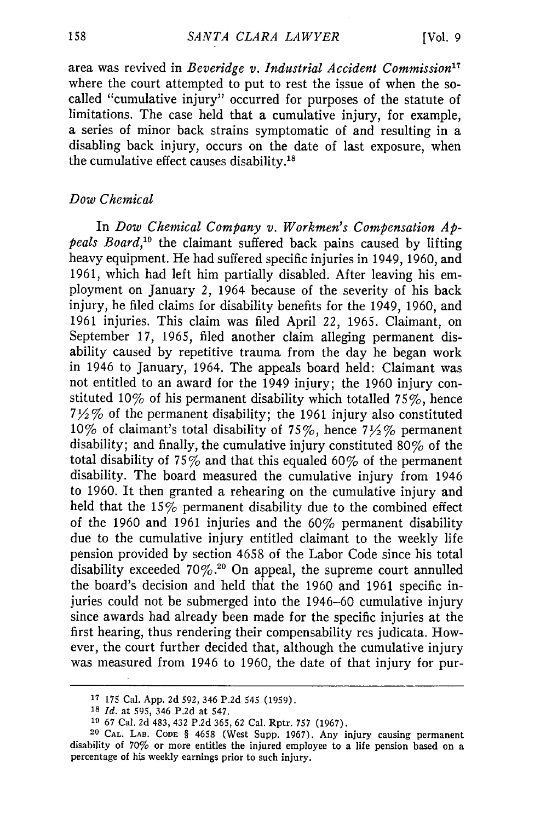area was revived in *Beveridge v. Industrial Accident Commission17* where the court attempted to put to rest the issue of when the socalled "cumulative injury" occurred for purposes of the statute of limitations. The case held that a cumulative injury, for example, a series of minor back strains symptomatic of and resulting in a disabling back injury, occurs on the date of last exposure, when the cumulative effect causes disability.<sup>18</sup>

# *Dow Chemical*

In *Dow Chemical Company v. Workmen's Compensation Appeals Board,19* the claimant suffered back pains caused by lifting heavy equipment. He had suffered specific injuries in 1949, 1960, and 1961, which had left him partially disabled. After leaving his employment on January *2,* 1964 because of the severity of his back injury, he filed claims for disability benefits for the 1949, 1960, and 1961 injuries. This claim was filed April 22, 1965. Claimant, on September 17, 1965, filed another claim alleging permanent disability caused by repetitive trauma from the day he began work in 1946 to January, 1964. The appeals board held: Claimant was not entitled to an award for the 1949 injury; the 1960 injury constituted 10% of his permanent disability which totalled 75%, hence *7Y2* **%** of the permanent disability; the 1961 injury also constituted 10% of claimant's total disability of 75%, hence 7 $\frac{1}{2}$ % permanent disability; and finally, the cumulative injury constituted **80%** of the total disability of 75% and that this equaled 60% of the permanent disability. The board measured the cumulative injury from 1946 to 1960. It then granted a rehearing on the cumulative injury and held that the 15% permanent disability due to the combined effect of the 1960 and 1961 injuries and the **60%** permanent disability due to the cumulative injury entitled claimant to the weekly life pension provided by section 4658 of the Labor Code since his total disability exceeded  $70\%$ .<sup>20</sup> On appeal, the supreme court annulled the board's decision and held that the 1960 and 1961 specific injuries could not be submerged into the 1946-60 cumulative injury since awards had already been made for the specific injuries at the first hearing, thus rendering their compensability res judicata. However, the court further decided that, although the cumulative injury was measured from 1946 to 1960, the date of that injury for pur-

**<sup>17 175</sup>** Cal. App. 2d 592, 346 P.2d 545 **(1959).**

**<sup>18</sup>***Id.* at **595,** 346 **P.2d** at 547.

**<sup>19</sup>67** Cal. **2d** 483, 432 **P.2d 365,** 62 Cal. Rptr. **757 (1967).**

**<sup>20</sup> CAL. LAB. CODE** § **4658** (West Supp. **1967).** Any injury causing permanent **disability of 70% or more entitles the injured employee to** a **life pension based on a percentage of his weekly earnings prior to such injury.**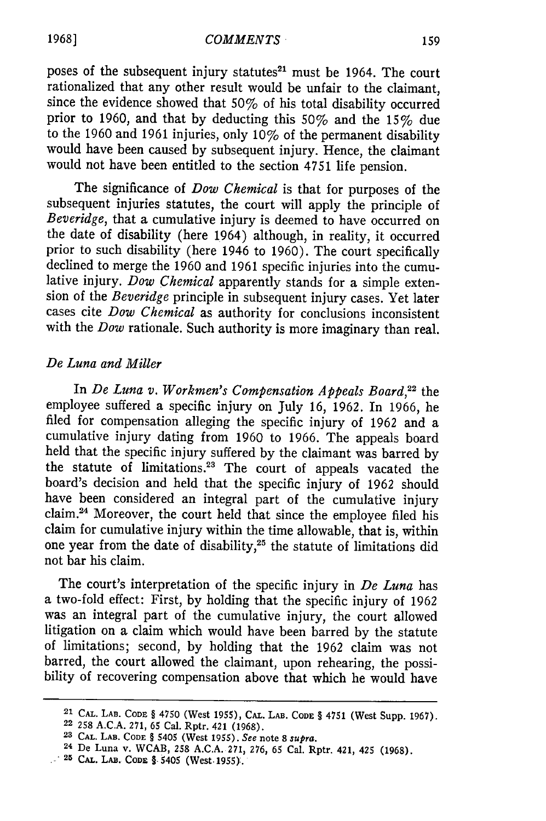#### *COMMENTS*

poses of the subsequent injury statutes<sup>21</sup> must be 1964. The court rationalized that any other result would be unfair to the claimant, since the evidence showed that 50% of his total disability occurred prior to 1960, and that by deducting this 50% and the 15% due to the 1960 and 1961 injuries, only 10% of the permanent disability would have been caused by subsequent injury. Hence, the claimant would not have been entitled to the section 4751 life pension.

The significance of *Dow Chemical* is that for purposes of the subsequent injuries statutes, the court will apply the principle of *Beveridge,* that a cumulative injury is deemed to have occurred on the date of disability (here 1964) although, in reality, it occurred prior to such disability (here 1946 to 1960). The court specifically declined to merge the 1960 and 1961 specific injuries into the cumulative injury. *Dow Chemical* apparently stands for a simple extension of the *Beveridge* principle in subsequent injury cases. Yet later cases cite *Dow Chemical* as authority for conclusions inconsistent with the *Dow* rationale. Such authority is more imaginary than real.

# *De Luna and Miller*

In *De Luna v. Workmen's Compensation Appeals Board,22* the employee suffered a specific injury on July 16, 1962. In 1966, he filed for compensation alleging the specific injury of 1962 and a cumulative injury dating from 1960 to 1966. The appeals board held that the specific injury suffered by the claimant was barred by the statute of limitations.<sup>23</sup> The court of appeals vacated the board's decision and held that the specific injury of 1962 should have been considered an integral part of the cumulative injury claim.24 Moreover, the court held that since the employee filed his claim for cumulative injury within the time allowable, that is, within one year from the date of disability,<sup>25</sup> the statute of limitations did not bar his claim.

The court's interpretation of the specific injury in *De Luna* has a two-fold effect: First, by holding that the specific injury of 1962 was an integral part of the cumulative injury, the court allowed litigation on a claim which would have been barred by the statute of limitations; second, by holding that the 1962 claim was not barred, the court allowed the claimant, upon rehearing, the possi-<br>bility of recovering compensation above that which he would have

**1968]**

**<sup>21</sup> CAL. LAB. CODE** § 4750 (West **1955), CAL. LAB. CODE** § 4751 (West **Supp. 1967).** 22 **258 A.C.A. 271, 65** Cal. Rptr. 421 **(1968).**

**<sup>23</sup> CAL. LAB. CODE** § 5405 (West **1955).** *See* note **8** *supra.*

<sup>24</sup> De Luna v. WCAB, **258 A.C.A. 271, 276, 65** Cal. Rptr. 421, 425 **(1968).**

**<sup>25</sup> CAL. LAB. CODE** §-5405 (West. **1955):.**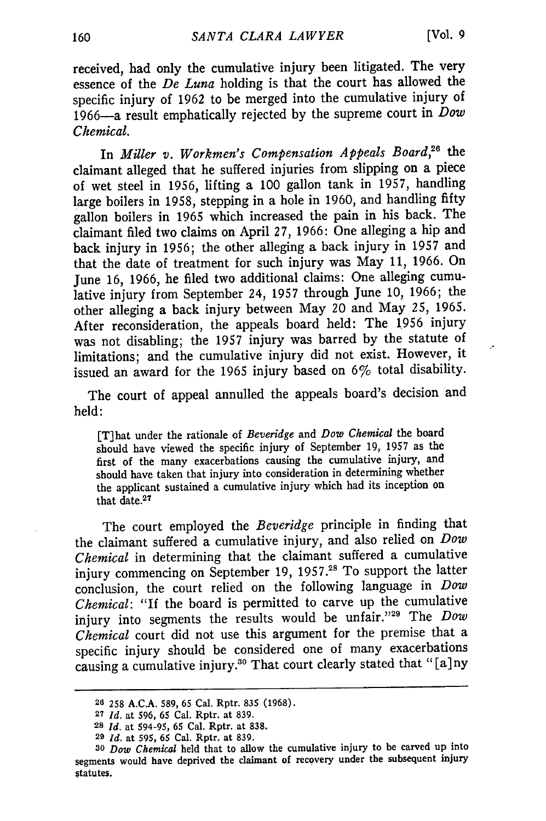received, had only the cumulative injury been litigated. The very essence of the *De Luna* holding is that the court has allowed the specific injury of 1962 to be merged into the cumulative injury of 1966-a result emphatically rejected by the supreme court in *Dow Chemical.*

In *Miller v. Workmen's Compensation Appeals Board,26* the claimant alleged that he suffered injuries from slipping on a piece of wet steel in 1956, lifting a 100 gallon tank in 1957, handling large boilers in 1958, stepping in a hole in 1960, and handling fifty gallon boilers in 1965 which increased the pain in his back. The claimant filed two claims on April 27, 1966: One alleging a hip and back injury in 1956; the other alleging a back injury in 1957 and that the date of treatment for such injury was May *11,* 1966. On June 16, 1966, he filed two additional claims: One alleging cumulative injury from September 24, 1957 through June 10, 1966; the other alleging a back injury between May 20 and May 25, 1965. After reconsideration, the appeals board held: The 1956 injury was not disabling; the 1957 injury was barred by the statute of limitations; and the cumulative injury did not exist. However, it issued an award for the 1965 injury based on 6% total disability.

The court of appeal annulled the appeals board's decision and held:

[T]hat under the rationale of *Beveridge* and *Dow Chemical* the board should have viewed the specific injury of September 19, 1957 as the first of the many exacerbations causing the cumulative injury, and should have taken that injury into consideration in determining whether the applicant sustained a cumulative injury which had its inception on that date.27

The court employed the *Beveridge* principle in finding that the claimant suffered a cumulative injury, and also relied on *Dow Chemical* in determining that the claimant suffered a cumulative injury commencing on September 19, 1957.<sup>28</sup> To support the latter conclusion, the court relied on the following language in *Dow Chemical:* "If the board is permitted to carve up the cumulative injury into segments the results would be unfair."<sup>29</sup> The *Dow Chemical* court did not use this argument for the premise that a specific injury should be considered one of many exacerbations causing a cumulative injury.<sup>30</sup> That court clearly stated that "[a]ny

**<sup>26 258</sup>** A.C.A. 589, **65** Cal. Rptr. 835 (1968).

**<sup>27</sup>***Id.* at 596, 65 Cal. Rptr. at 839.

**<sup>28</sup>***Id.* at 594-95, 65 Cal. Rptr. at 838.

**<sup>29</sup>***Id.* at 595, 65 Cal. Rptr. at 839.

*<sup>30</sup>Dow Chemical* held that to allow the cumulative injury to be carved up into segments would have deprived the claimant of recovery under the subsequent injury statutes.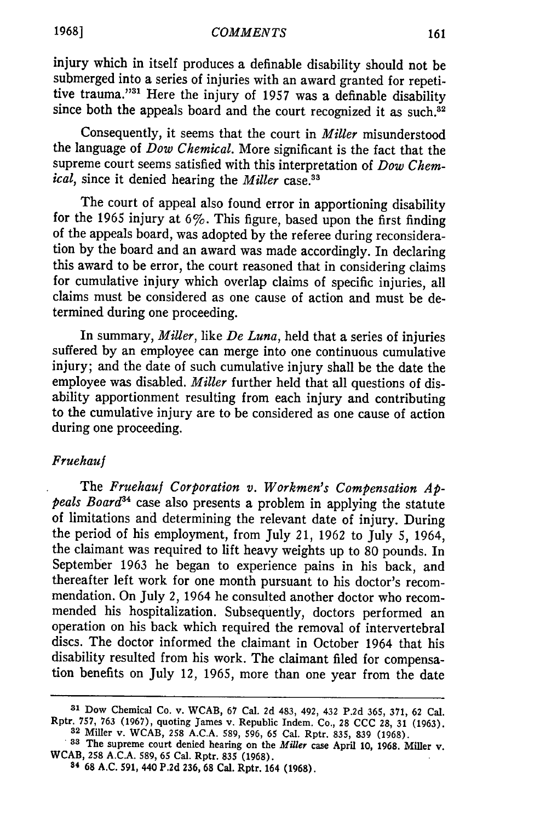#### *COMMENTS*

injury which in itself produces a definable disability should not be submerged into a series of injuries with an award granted for repetitive trauma."<sup>31</sup> Here the injury of 1957 was a definable disability since both the appeals board and the court recognized it as such. $32$ 

Consequently, it seems that the court in *Miller* misunderstood the language of *Dow Chemical.* More significant is the fact that the supreme court seems satisfied with this interpretation of *Dow Chem*ical, since it denied hearing the *Miller* case.<sup>33</sup>

The court of appeal also found error in apportioning disability for the 1965 injury at  $6\%$ . This figure, based upon the first finding of the appeals board, was adopted by the referee during reconsideration by the board and an award was made accordingly. In declaring this award to be error, the court reasoned that in considering claims for cumulative injury which overlap claims of specific injuries, all claims must be considered as one cause of action and must be determined during one proceeding.

In summary, *Miller,* like *De Luna,* held that a series of injuries suffered by an employee can merge into one continuous cumulative injury; and the date of such cumulative injury shall be the date the employee was disabled. *Miller* further held that all questions of disability apportionment resulting from each injury and contributing to the cumulative injury are to be considered as one cause of action during one proceeding.

# Fruehauf

The *Fruehauf Corporation v. Workmen's Compensation Appeals Board"4* case also presents a problem in applying the statute of limitations and determining the relevant date of injury. During the period of his employment, from July 21, 1962 to July 5, 1964, the claimant was required to lift heavy weights up to 80 pounds. In September 1963 he began to experience pains in his back, and thereafter left work for one month pursuant to his doctor's recommendation. On July 2, 1964 he consulted another doctor who recommended his hospitalization. Subsequently, doctors performed an operation on his back which required the removal of intervertebral discs. The doctor informed the claimant in October 1964 that his disability resulted from his work. The claimant filed for compensation benefits on July 12, 1965, more than one year from the date

**<sup>31</sup> Dow Chemical Co. v. WCAB, 67** Cal. **2d** 483, 492, 432 **P.2d** 365, 371, **62** Cal. Rptr. **757, 763 (1967),** quoting James **v.** Republic Indem. Co., **28 CCC 28, 31 (1963). <sup>32</sup>**Miller **v.** WCAB, **258 A.C.A. 589, 596, 65** Cal. Rptr. **835, 839 (1968).**

<sup>&</sup>lt;sup>33</sup> The supreme court denied hearing on the *Miller* case April 10, 1968. Miller v. WCAB, 258 A.C.A. 589, 65 Cal. Rptr. 835 (1968).<br><sup>34</sup> 68 A.C. 591, 440 P.2d 236, 68 Cal. Rptr. 164 (1968).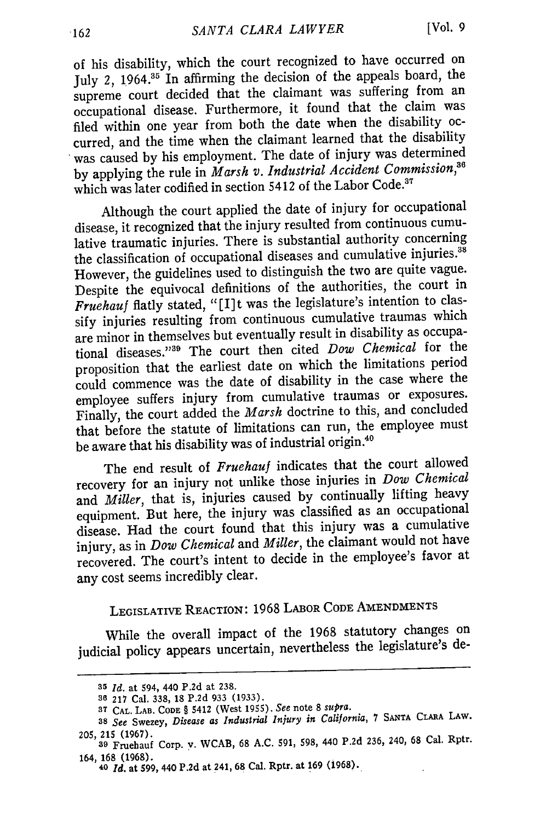of his disability, which the court recognized to have occurred on July 2, 1964.<sup>35</sup> In affirming the decision of the appeals board, the supreme court decided that the claimant was suffering from an occupational disease. Furthermore, it found that the claim was filed within one year from both the date when the disability occurred, and the time when the claimant learned that the disability was caused by his employment. The date of injury was determined by applying the rule in *Marsh v. Industrial Accident Commission,36* which was later codified in section 5412 of the Labor Code.<sup>37</sup>

Although the court applied the date of injury for occupational disease, it recognized that the injury resulted from continuous cumulative traumatic injuries. There is substantial authority concerning the classification of occupational diseases and cumulative injuries.<sup>38</sup> However, the guidelines used to distinguish the two are quite vague. Despite the equivocal definitions of the authorities, the court in *Fruehauf* flatly stated, "[I] t was the legislature's intention to classify injuries resulting from continuous cumulative traumas which are minor in themselves but eventually result in disability as occupational diseases." 39 The court then cited *Dow Chemical* for the proposition that the earliest date on which the limitations period could commence was the date of disability in the case where the employee suffers injury from cumulative traumas or exposures. Finally, the court added the *Marsh* doctrine to this, and concluded that before the statute of limitations can run, the employee must be aware that his disability was of industrial origin.<sup>40</sup>

The end result of *Fruehauf* indicates that the court allowed recovery for an injury not unlike those injuries in *Dow Chemical* and *Miller,* that is, injuries caused by continually lifting heavy equipment. But here, the injury was classified as an occupational disease. Had the court found that this injury was a cumulative injury, as in *Dow Chemical* and *Miller,* the claimant would not have recovered. The court's intent to decide in the employee's favor at any cost seems incredibly clear.

# LEGISLATIVE REACTION: **1968** LABOR CODE AMENDMENTS

While the overall impact of the 1968 statutory changes on judicial policy appears uncertain, nevertheless the legislature's de-

<sup>35</sup>*Id.* at 594, 440 P.2d at **238.**

**<sup>36 217</sup>** Cal. **338, I8 P.2d 933 (1933).**

**<sup>3</sup>T CAL. LAB. CODE** § 5412 **(West 1955).** *See* **note 8** *supra.*

**<sup>38</sup>***See* **Swezey,** *Disease as Industrial Injury in California,* **7 SANTA CLARA LAW. 205, 215 (1967).**

**<sup>39</sup> Fruehauf Corp. y.** WCAB, **68 A.C. 591, 598,** 440 **P.2d 236,** 240, **68** Cal. **Rptr.** 164, **168 (1968).**

**<sup>40</sup>***Id.* at **599,** 440 **P.2d at 241, 68 Cal. Rptr. at 169 (1968).**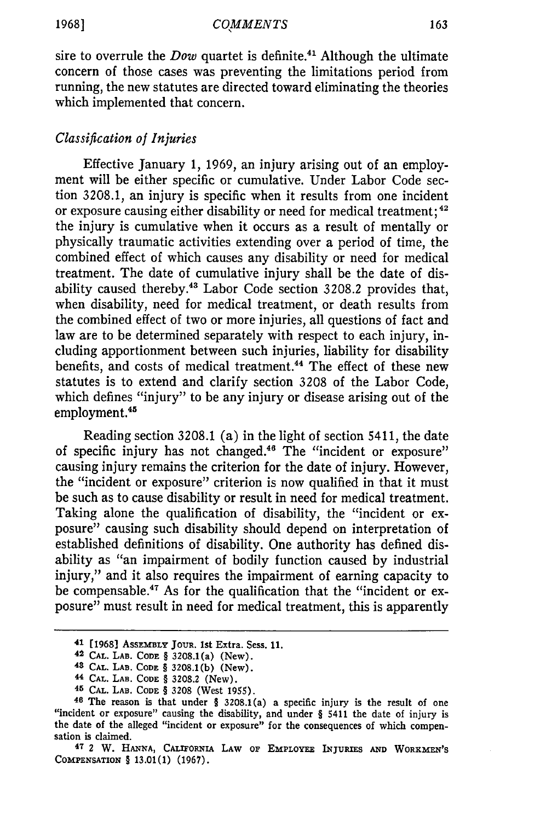sire to overrule the *Dow* quartet is definite.<sup>41</sup> Although the ultimate concern of those cases was preventing the limitations period from running, the new statutes are directed toward eliminating the theories which implemented that concern.

# *Classification of Injuries*

Effective January 1, 1969, an injury arising out of an employment will be either specific or cumulative. Under Labor Code section 3208.1, an injury is specific when it results from one incident or exposure causing either disability or need for medical treatment; <sup>42</sup> the injury is cumulative when it occurs as a result of mentally or physically traumatic activities extending over a period of time, the combined effect of which causes any disability or need for medical treatment. The date of cumulative injury shall be the date of disability caused thereby.<sup>43</sup> Labor Code section 3208.2 provides that, when disability, need for medical treatment, or death results from the combined effect of two or more injuries, all questions of fact and law are to be determined separately with respect to each injury, including apportionment between such injuries, liability for disability benefits, and costs of medical treatment.<sup>44</sup> The effect of these new statutes is to extend and clarify section 3208 of the Labor Code, which defines "injury" to be any injury or disease arising out of the employment.<sup>45</sup>

Reading section 3208.1 (a) in the light of section 5411, the date of specific injury has not changed.<sup>46</sup> The "incident or exposure" causing injury remains the criterion for the date of injury. However, the "incident or exposure" criterion is now qualified in that it must be such as to cause disability or result in need for medical treatment. Taking alone the qualification of disability, the "incident or exposure" causing such disability should depend on interpretation of established definitions of disability. One authority has defined disability as "an impairment of bodily function caused by industrial injury," and it also requires the impairment of earning capacity to be compensable.47 As for the qualification that the "incident or exposure" must result in need for medical treatment, this is apparently

**47 2 W. HANNA, CALIFORNIA LAW OF EMPLOYEE INJURIES AND WORKMEN'S COMPENSATION** § **13.01(1) (1967).**

<sup>41</sup> **[1968] ASSEMBLY JOUR. 1st** Extra. Sess. **11.**

<sup>42</sup> **CAL.** LAB. **CODE** § 3208.1(a) (New).

**<sup>43</sup> CAL.** LAB. **CODE** § **3208.1(b)** (New).

**<sup>44</sup> CAL. LAB. CODE** § 3208.2 (New).

**<sup>45</sup> CAL.** LAB. CODE § 3208 (West 1955).

**<sup>46</sup>**The reason is that under § 3208.1(a) a specific injury is the result **of one** "incident or exposure" causing the disability, and under § 5411 the date of injury is the date of the alleged "incident or exposure" for the consequences of which compensation is claimed.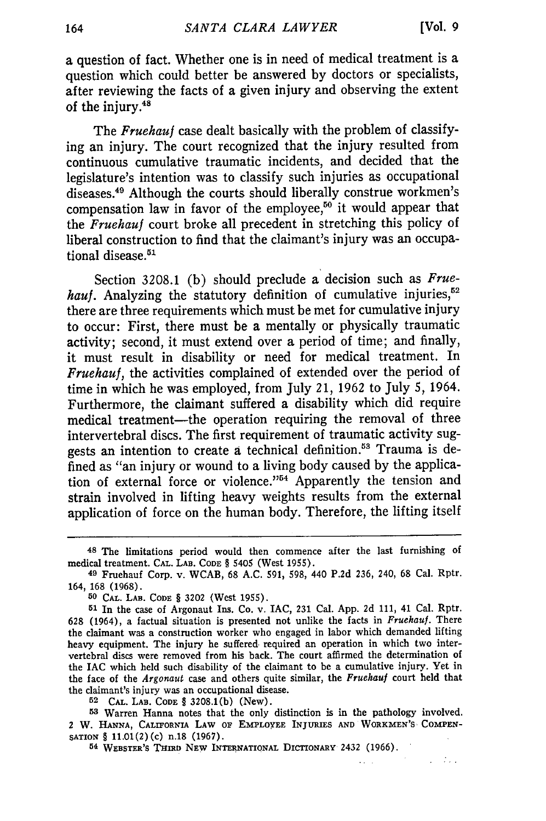$\mathcal{A}^{\text{max}}_{\text{max}}$  , where  $\mathcal{A}^{\text{max}}_{\text{max}}$ 

 $\mathbf{1}$ 

a question of fact. Whether one is in need of medical treatment is a question which could better be answered by doctors or specialists, after reviewing the facts of a given injury and observing the extent of the injury.48

The *Fruehauf* case dealt basically with the problem of classifying an injury. The court recognized that the injury resulted from continuous cumulative traumatic incidents, and decided that the legislature's intention was to classify such injuries as occupational diseases.49 Although the courts should liberally construe workmen's compensation law in favor of the employee,<sup>50</sup> it would appear that the *Fruehauf* court broke all precedent in stretching this policy of liberal construction to find that the claimant's injury was an occupational disease.<sup>51</sup>

Section 3208.1 (b) should preclude a decision such as *Frue*hauf. Analyzing the statutory definition of cumulative injuries,<sup>52</sup> there are three requirements which must be met for cumulative injury to occur: First, there must be a mentally or physically traumatic activity; second, it must extend over a period of time; and finally, it must result in disability or need for medical treatment. In *Fruehauf,* the activities complained of extended over the period of time in which he was employed, from July 21, 1962 to July 5, 1964. Furthermore, the claimant suffered a disability which did require medical treatment-the operation requiring the removal of three intervertebral discs. The first requirement of traumatic activity suggests an intention to create a technical definition.<sup>53</sup> Trauma is defined as "an injury or wound to a living body caused by the application of external force or violence."<sup>54</sup> Apparently the tension and strain involved in lifting heavy weights results from the external application of force on the human body. Therefore, the lifting itself

**52 CAL.** LAB. **CODE** § 3208.1(b) (New).

**<sup>53</sup>**Warren Hanna notes that the only distinction is in the pathology involved. 2 W. **HANNA,** CALIFORNIA **LAW OF EmPLOYEE** INJURIES **AND** WORKMEN'S, **COMPEN-**SATION § 11.01(2)(c) n.18 **(1967).**

**54 WEBSTER'S THIRD NEW INTERNATIONAL** DICTIONARY 2432 **(1966).**

**<sup>48</sup>** The limitations period would then commence after the last furnishing of medical treatment. **CAL. LAB. CODE** § 5405 (West 1955).

**<sup>49</sup>**Fruehauf Corp. v. WCAB, 68 A.C. **591, 598,** 440 **P.2d** 236, 240, 68 Cal. Rptr. 164, 168 (1968).

**<sup>50</sup> CAL. LAB. CODE** § **3202** (West 1955).

**<sup>51</sup>**In the case of Argonaut Ins. Co. v. IAC, **231** Cal. App. 2d 111, 41 Cal. Rptr. 628 (1964), a factual situation is presented not unlike the facts in *Fruehauf.* There the claimant was a construction worker who engaged in labor which demanded lifting heavy equipment. The injury he suffered- required an operation in which two intervertebral discs were removed from his back. The court affirmed the determination of the IAC which held such disability of the claimant to be a cumulative injury. Yet in the face of the *Argonaut* case and others quite similar, the *Fruehauf* court held that the claimant's injury was an occupational disease.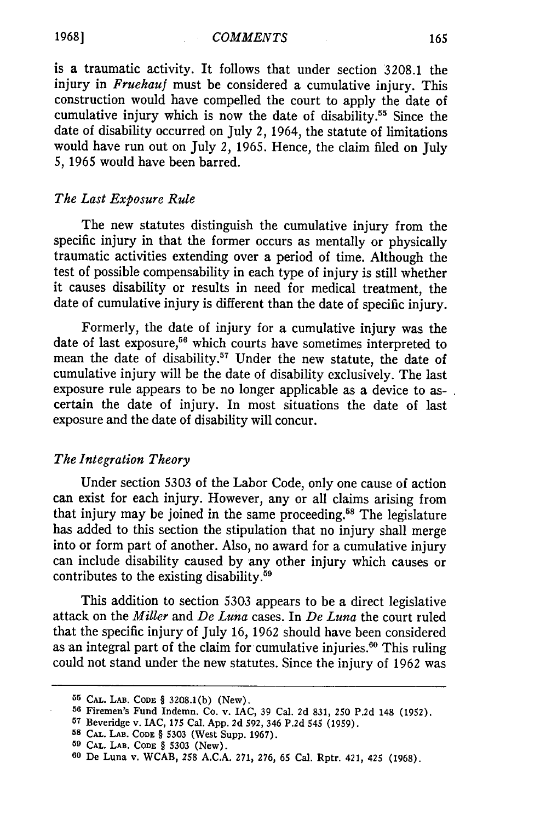is a traumatic activity. It follows that under section 3208.1 the injury in *Fruehauf* must be considered a cumulative injury. This construction would have compelled the court to apply the date of cumulative injury which is now the date of disability.<sup>55</sup> Since the date of disability occurred on July 2, 1964, the statute of limitations would have run out on July 2, 1965. Hence, the claim filed on July *5,* 1965 would have been barred.

# *The Last Exposure Rule*

The new statutes distinguish the cumulative injury from the specific injury in that the former occurs as mentally or physically traumatic activities extending over a period of time. Although the test of possible compensability in each type of injury is still whether it causes disability or results in need for medical treatment, the date of cumulative injury is different than the date of specific injury.

Formerly, the date of injury for a cumulative injury was the date of last exposure,<sup>56</sup> which courts have sometimes interpreted to mean the date of disability.<sup>57</sup> Under the new statute, the date of cumulative injury will be the date of disability exclusively. The last exposure rule appears to be no longer applicable as a device to ascertain the date of injury. In most situations the date of last exposure and the date of disability will concur.

### *The Integration Theory*

Under section 5303 of the Labor Code, only one cause of action can exist for each injury. However, any or all claims arising from that injury may be joined in the same proceeding.<sup>58</sup> The legislature has added to this section the stipulation that no injury shall merge into or form part of another. Also, no award for a cumulative injury can include disability caused by any other injury which causes or contributes to the existing disability.59

This addition to section 5303 appears to be a direct legislative attack on the *Miller and De Luna* cases. In *De Luna* the court ruled that the specific injury of July 16, 1962 should have been considered as an integral part of the claim for cumulative injuries. $60$  This ruling could not stand under the new statutes. Since the injury of 1962 was

**<sup>55</sup> CAL. LAB. CODE** § 3208.1(b) (New). **<sup>56</sup>**Firemen's Fund Indemn. Co. v. **IAC, 39** Cal. 2d 831, 250 P.2d 148 (1952).

**<sup>57</sup>**Beveridge v. IAC, **175** Cal. **App. 2d 592,** 346 **P.2d 545 (1959).**

**<sup>58</sup> CAL.** LAB. **CODE** § **5303** (West Supp. **1967).**

**<sup>59</sup> CAL.** LAB. **CODE** § **5303** (New). **<sup>60</sup>**De Luna v. WCAB, **258 A.C.A. 271, 276, 65** Cal. Rptr. 421, **425 (1968).**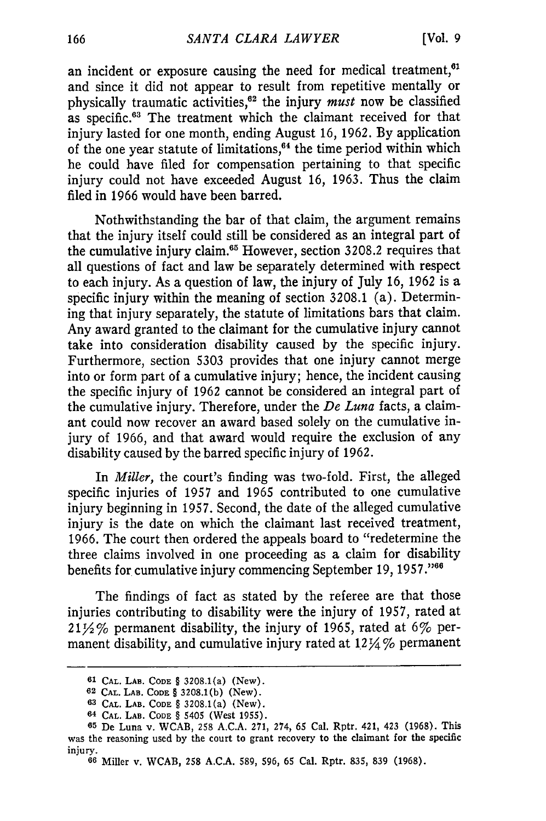an incident or exposure causing the need for medical treatment,<sup>61</sup> and since it did not appear to result from repetitive mentally or physically traumatic activities,<sup>62</sup> the injury *must* now be classified as specific.<sup>63</sup> The treatment which the claimant received for that injury lasted for one month, ending August 16, 1962. By application of the one year statute of limitations,<sup>64</sup> the time period within which he could have filed for compensation pertaining to that specific injury could not have exceeded August 16, 1963. Thus the claim filed in 1966 would have been barred.

Nothwithstanding the bar of that claim, the argument remains that the injury itself could still be considered as an integral part of the cumulative injury claim.<sup>65</sup> However, section 3208.2 requires that all questions of fact and law be separately determined with respect to each injury. As a question of law, the injury of July 16, 1962 is a specific injury within the meaning of section 3208.1 (a). Determining that injury separately, the statute of limitations bars that claim. Any award granted to the claimant for the cumulative injury cannot take into consideration disability caused by the specific injury. Furthermore, section 5303 provides that one injury cannot merge into or form part of a cumulative injury; hence, the incident causing the specific injury of 1962 cannot be considered an integral part of the cumulative injury. Therefore, under the *De Luna* facts, a claimant could now recover an award based solely on the cumulative injury of 1966, and that award would require the exclusion of any disability caused by the barred specific injury of 1962.

In *Miller,* the court's finding was two-fold. First, the alleged specific injuries of 1957 and 1965 contributed to one cumulative injury beginning in 1957. Second, the date of the alleged cumulative injury is the date on which the claimant last received treatment, 1966. The court then ordered the appeals board to "redetermine the three claims involved in one proceeding as a claim for disability benefits for cumulative injury commencing September 19, **1957 ."6**

The findings of fact as stated by the referee are that those injuries contributing to disability were the injury of 1957, rated at  $21\frac{1}{2}\%$  permanent disability, the injury of 1965, rated at 6% permanent disability, and cumulative injury rated at  $12\frac{1}{4}\%$  permanent

**<sup>61</sup> CAL. LAB. CODE** § 3208.1(a) (New).

*<sup>62</sup>* **CAL.** LAB. **CODE** § 3208.1(b) (New).

**<sup>63</sup> CAL.** LAB. **CODE** § 3208.1(a) (New).

**<sup>64</sup> CAL.** LAB. **CODE** § 5405 (West 1955).

**<sup>65</sup>** De Luna v. WCAB, 258 A.C.A. 271, 274, 65 Cal. Rptr. 421, 423 (1968). This was the reasoning used by the court to grant recovery to the claimant for the specific injury.

**<sup>66</sup>**Miller v. WCAB, 258 A.C.A. 589, 596, 65 Cal. Rptr. 835, 839 (1968).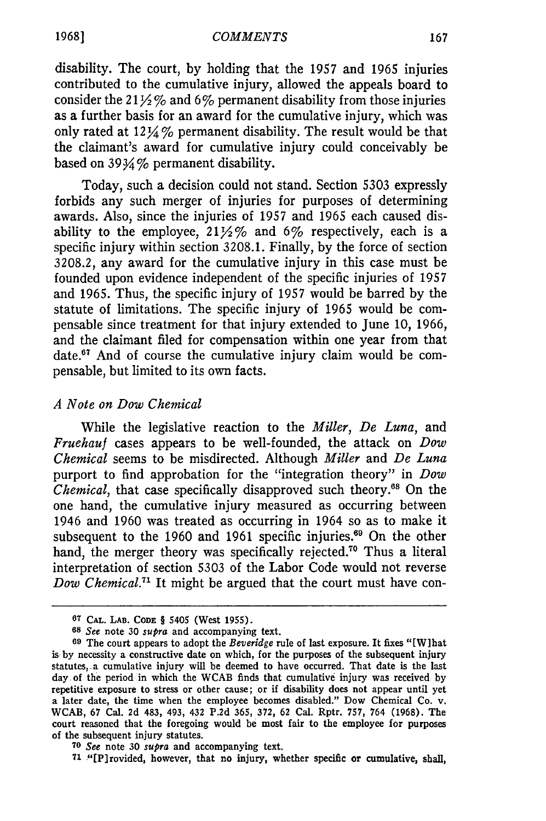disability. The court, by holding that the 1957 and 1965 injuries contributed to the cumulative injury, allowed the appeals board to consider the  $21\frac{1}{2}\%$  and 6% permanent disability from those injuries as a further basis for an award for the cumulative injury, which was only rated at 124 *9'o* permanent disability. The result would be that the claimant's award for cumulative injury could conceivably be based on  $39\frac{1}{2}\%$  permanent disability.

Today, such a decision could not stand. Section 5303 expressly forbids any such merger of injuries for purposes of determining awards. Also, since the injuries of 1957 and 1965 each caused disability to the employee,  $21\frac{1}{2}\%$  and 6% respectively, each is a specific injury within section 3208.1. Finally, by the force of section 3208.2, any award for the cumulative injury in this case must be founded upon evidence independent of the specific injuries of 1957 and 1965. Thus, the specific injury of 1957 would be barred by the statute of limitations. The specific injury of 1965 would be compensable since treatment for that injury extended to June 10, 1966, and the claimant filed for compensation within one year from that date.<sup>67</sup> And of course the cumulative injury claim would be compensable, but limited to its own facts.

# *A Note on Dow Chemical*

While the legislative reaction to the *Miller, De Luna,* and *Fruehauf* cases appears to be well-founded, the attack on *Dow Chemical* seems to be misdirected. Although *Miller* and *De Luna* purport to find approbation for the "integration theory" in *Dow Chemical*, that case specifically disapproved such theory.<sup>68</sup> On the one hand, the cumulative injury measured as occurring between 1946 and 1960 was treated as occurring in 1964 so as to make it subsequent to the 1960 and 1961 specific injuries.<sup>69</sup> On the other hand, the merger theory was specifically rejected.<sup>70</sup> Thus a literal interpretation of section 5303 of the Labor Code would not reverse *Dow Chemical.<sup>71</sup>*It might be argued that the court must have con-

**1968]**

**<sup>67</sup> CAL. LAB. CODE** § 5405 (West 1955).

**<sup>68</sup>** *See* note *30 supra* and accompanying text.

**<sup>69</sup>** The court appears to adopt the *Beveridge* rule of last exposure. It fixes "[Wihat is by necessity a constructive date on which, for the purposes of the subsequent injury statutes, a cumulative injury will be deemed to have occurred. That date is the last day of the period in which the WCAB finds that cumulative injury was received by repetitive exposure to stress or other cause; or if disability does not appear until yet a later date, the time when the employee becomes disabled." Dow Chemical Co. v. WCAB, 67 Cal. 2d 483, 493, 432 P.2d 365, 372, 62 Cal. Rptr. 757, 764 (1968). The court reasoned that the foregoing would be most fair to the employee for purposes of the subsequent injury statutes.

**<sup>70</sup>** *See* note 30 *supra* and accompanying text.

**<sup>71</sup>** "[Plrovided, however, that no injury, whether specific or cumulative, shall,